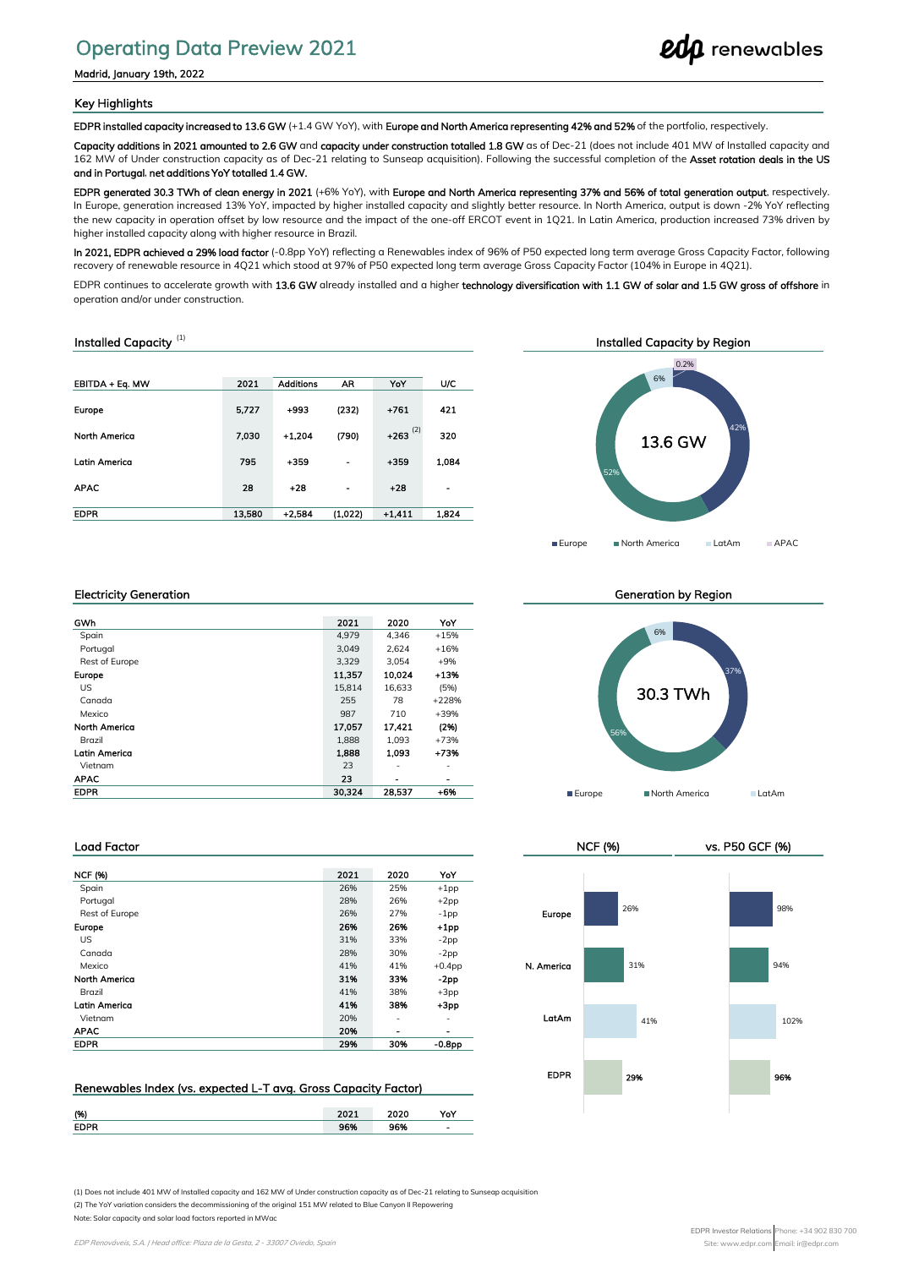# Operating Data Preview 2021

Madrid, January 19th, 2022

#### Key Highlights

EDPR installed capacity increased to 13.6 GW (+1.4 GW YoY), with Europe and North America representing 42% and 52% of the portfolio, respectively

Capacity additions in 2021 amounted to 2.6 GW and capacity under construction totalled 1.8 GW as of Dec-21 (does not include 401 MW of Installed capacity and 162 MW of Under construction capacity as of Dec-21 relating to Sunseap acquisition). Following the successful completion of the Asset rotation deals in the US and in Portugal, net additions YoY totalled 1.4 GW.

EDPR generated 30.3 TWh of clean energy in 2021 (+6% YoY), with Europe and North America representing 37% and 56% of total generation output, respectively. In Europe, generation increased 13% YoY, impacted by higher installed capacity and slightly better resource. In North America, output is down -2% YoY reflecting the new capacity in operation offset by low resource and the impact of the one-off ERCOT event in 1Q21. In Latin America, production increased 73% driven by higher installed capacity along with higher resource in Brazil.

In 2021, EDPR achieved a 29% load factor (-0.8pp YoY) reflecting a Renewables index of 96% of P50 expected long term average Gross Capacity Factor, following recovery of renewable resource in 4Q21 which stood at 97% of P50 expected long term average Gross Capacity Factor (104% in Europe in 4Q21).

EDPR continues to accelerate growth with 13.6 GW already installed and a higher technology diversification with 1.1 GW of solar and 1.5 GW gross of offshore in operation and/or under construction.

#### Installed Capacity<sup>(1)</sup>

| EBITDA + Eq. MW      | 2021   | <b>Additions</b> | AR      | YoY                   | U/C            |
|----------------------|--------|------------------|---------|-----------------------|----------------|
|                      |        |                  |         |                       |                |
| <b>Europe</b>        | 5.727  | $+993$           | (232)   | $+761$                | 421            |
|                      |        |                  |         |                       |                |
| <b>North America</b> | 7.030  | $+1.204$         | (790)   | $+263$ <sup>(2)</sup> | 320            |
|                      |        |                  |         |                       |                |
| <b>Latin America</b> | 795    | $+359$           | ٠       | $+359$                | 1,084          |
| <b>APAC</b>          | 28     | $+28$            | ٠       | $+28$                 | $\blacksquare$ |
|                      |        |                  |         |                       |                |
| <b>EDPR</b>          | 13,580 | $+2.584$         | (1.022) | $+1,411$              | 1,824          |
|                      |        |                  |         |                       |                |



**edp** renewables

#### Electricity Generation

| GWh                  | 2021   | 2020   | YoY                      |
|----------------------|--------|--------|--------------------------|
| Spain                | 4.979  | 4.346  | $+15%$                   |
| Portugal             | 3.049  | 2.624  | $+16%$                   |
| Rest of Europe       | 3.329  | 3.054  | $+9%$                    |
| <b>Europe</b>        | 11.357 | 10,024 | $+13%$                   |
| US                   | 15,814 | 16,633 | (5%)                     |
| Canada               | 255    | 78     | $+228%$                  |
| Mexico               | 987    | 710    | +39%                     |
| <b>North America</b> | 17.057 | 17.421 | (296)                    |
| Brazil               | 1,888  | 1,093  | $+73%$                   |
| <b>Latin America</b> | 1.888  | 1.093  | $+73%$                   |
| Vietnam              | 23     | ۰      | ٠                        |
| <b>APAC</b>          | 23     | -      | $\overline{\phantom{0}}$ |
| <b>EDPR</b>          | 30.324 | 28.537 | $+6%$                    |
|                      |        |        |                          |

#### Generation by Region



NCF (%) vs. P50 GCF (%)

#### Load Factor

| <b>NCF (%)</b>       | 2021 | 2020 | YoY            |            |
|----------------------|------|------|----------------|------------|
| Spain                | 26%  | 25%  | $+1$ pp        |            |
| Portugal             | 28%  | 26%  | $+2pp$         |            |
| Rest of Europe       | 26%  | 27%  | $-1pp$         | Europe     |
| Europe               | 26%  | 26%  | $+1$ pp        |            |
| US.                  | 31%  | 33%  | $-2pp$         |            |
| Canada               | 28%  | 30%  | $-2pp$         |            |
| Mexico               | 41%  | 41%  | $+0.4$ pp      | N. Americo |
| <b>North America</b> | 31%  | 33%  | $-2pp$         |            |
| Brazil               | 41%  | 38%  | $+3pp$         |            |
| <b>Latin America</b> | 41%  | 38%  | $+3pp$         |            |
| Vietnam              | 20%  | ۰    | ۰              | LatAm      |
| <b>APAC</b>          | 20%  | ۰    | $\blacksquare$ |            |
| <b>EDPR</b>          | 29%  | 30%  | $-0.8pp$       |            |

### Renewables Index (vs. expected L‐T avg. Gross Capacity Factor)

| (96)        | $-2.5$ | 2020               | Yo |
|-------------|--------|--------------------|----|
| <b>EDPR</b> | cos    | <b>OCM</b><br>סלסכ | -  |

EDPR 29% 41% 31% 26% **96%** 102% 94% 98%

(1) Does not include 401 MW of Installed capacity and 162 MW of Under construction capacity as of Dec-21 relating to Sunseap acquisition

(2) The YoY variation considers the decommissioning of the original 151 MW related to Blue Canyon II Repowering

Note: Solar capacity and solar load factors reported in MWac